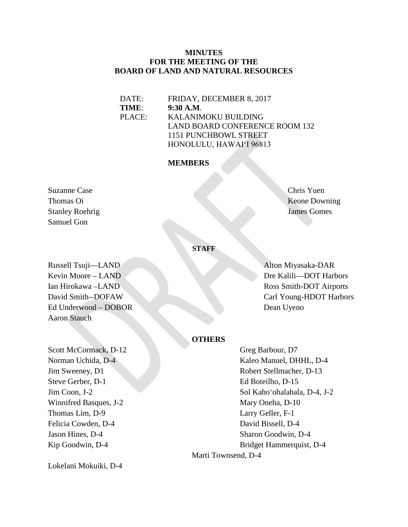#### **MINUTES FOR THE MEETING OF THE BOARD OF LAND AND NATURAL RESOURCES**

DATE: FRIDAY, DECEMBER 8, 2017 **TIME**: **9:30 A.M**. PLACE: KALANIMOKU BUILDING LAND BOARD CONFERENCE ROOM 132 1151 PUNCHBOWL STREET HONOLULU, HAWAIʻI 96813

#### **MEMBERS**

Suzanne Case Chris Yuen Stanley Roehrig James Gomes Samuel Gon

Thomas Oi Keone Downing

#### **STAFF**

Russell Tsuji—LAND Alton Miyasaka-DAR Ed Underwood – DOBOR Dean Uyeno Aaron Stauch

Kevin Moore – LAND Dre Kalili—DOT Harbors Ian Hirokawa –LAND Ross Smith-DOT Airports David Smith--DOFAW Carl Young-HDOT Harbors

#### **OTHERS**

Steve Gerber, D-1 Ed Boteilho, D-15 Winnifred Basques, J-2 Mary Oneha, D-10 Thomas Lim, D-9 Larry Geller, F-1 Felicia Cowden, D-4 David Bissell, D-4 Jason Hines, D-4 Sharon Goodwin, D-4

Lokelani Mokuiki, D-4

Scott McCormack, D-12 Greg Barbour, D7 Norman Uchida, D-4 Kaleo Manuel, DHHL, D-4 **Jim Sweeney, D1** Robert Stellmacher, D-13 Jim Coon, J-2 Sol Kahoʻohalahala, D-4, J-2 Kip Goodwin, D-4 Bridget Hammerquist, D-4 Marti Townsend, D-4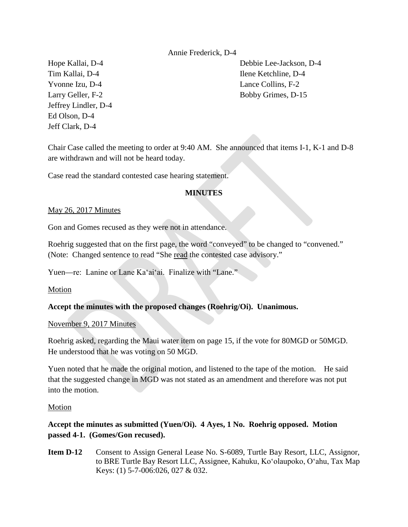#### Annie Frederick, D-4

Yvonne Izu, D-4 Lance Collins, F-2 Jeffrey Lindler, D-4 Ed Olson, D-4 Jeff Clark, D-4

Hope Kallai, D-4 Debbie Lee-Jackson, D-4 Tim Kallai, D-4 Ilene Ketchline, D-4 Larry Geller, F-2 Bobby Grimes, D-15

Chair Case called the meeting to order at 9:40 AM. She announced that items I-1, K-1 and D-8 are withdrawn and will not be heard today.

Case read the standard contested case hearing statement.

#### **MINUTES**

#### May 26, 2017 Minutes

Gon and Gomes recused as they were not in attendance.

Roehrig suggested that on the first page, the word "conveyed" to be changed to "convened." (Note: Changed sentence to read "She read the contested case advisory."

Yuen—re: Lanine or Lane Kaʻaiʻai. Finalize with "Lane."

Motion

#### **Accept the minutes with the proposed changes (Roehrig/Oi). Unanimous.**

#### November 9, 2017 Minutes

Roehrig asked, regarding the Maui water item on page 15, if the vote for 80MGD or 50MGD. He understood that he was voting on 50 MGD.

Yuen noted that he made the original motion, and listened to the tape of the motion. He said that the suggested change in MGD was not stated as an amendment and therefore was not put into the motion.

#### Motion

# **Accept the minutes as submitted (Yuen/Oi). 4 Ayes, 1 No. Roehrig opposed. Motion passed 4-1. (Gomes/Gon recused).**

**Item D-12** Consent to Assign General Lease No. S-6089, Turtle Bay Resort, LLC, Assignor, to BRE Turtle Bay Resort LLC, Assignee, Kahuku, Koʻolaupoko, Oʻahu, Tax Map Keys: (1) 5-7-006:026, 027 & 032.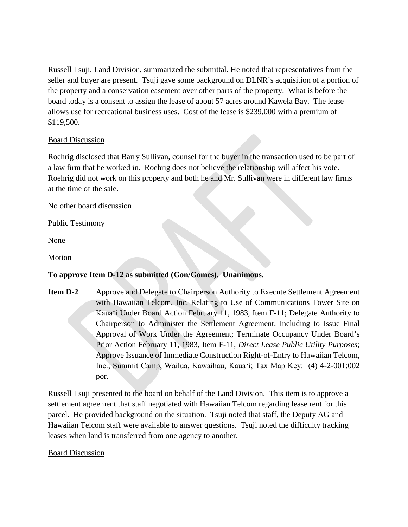Russell Tsuji, Land Division, summarized the submittal. He noted that representatives from the seller and buyer are present. Tsuji gave some background on DLNR's acquisition of a portion of the property and a conservation easement over other parts of the property. What is before the board today is a consent to assign the lease of about 57 acres around Kawela Bay. The lease allows use for recreational business uses. Cost of the lease is \$239,000 with a premium of \$119,500.

#### Board Discussion

Roehrig disclosed that Barry Sullivan, counsel for the buyer in the transaction used to be part of a law firm that he worked in. Roehrig does not believe the relationship will affect his vote. Roehrig did not work on this property and both he and Mr. Sullivan were in different law firms at the time of the sale.

No other board discussion

#### Public Testimony

None

Motion

## **To approve Item D-12 as submitted (Gon/Gomes). Unanimous.**

**Item D-2** Approve and Delegate to Chairperson Authority to Execute Settlement Agreement with Hawaiian Telcom, Inc. Relating to Use of Communications Tower Site on Kauaʻi Under Board Action February 11, 1983, Item F-11; Delegate Authority to Chairperson to Administer the Settlement Agreement, Including to Issue Final Approval of Work Under the Agreement; Terminate Occupancy Under Board's Prior Action February 11, 1983, Item F-11, *Direct Lease Public Utility Purposes*; Approve Issuance of Immediate Construction Right-of-Entry to Hawaiian Telcom, Inc.; Summit Camp, Wailua, Kawaihau, Kauaʻi; Tax Map Key: (4) 4-2-001:002 por.

Russell Tsuji presented to the board on behalf of the Land Division. This item is to approve a settlement agreement that staff negotiated with Hawaiian Telcom regarding lease rent for this parcel. He provided background on the situation. Tsuji noted that staff, the Deputy AG and Hawaiian Telcom staff were available to answer questions. Tsuji noted the difficulty tracking leases when land is transferred from one agency to another.

#### Board Discussion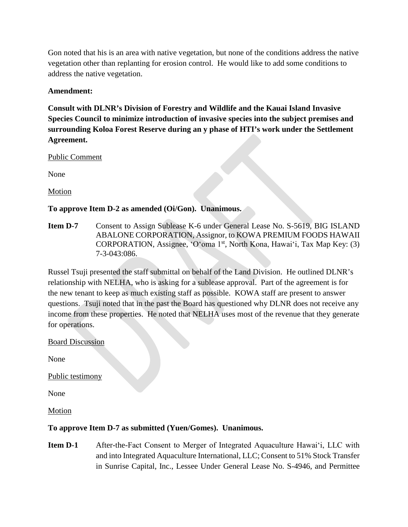Gon noted that his is an area with native vegetation, but none of the conditions address the native vegetation other than replanting for erosion control. He would like to add some conditions to address the native vegetation.

## **Amendment:**

**Consult with DLNR's Division of Forestry and Wildlife and the Kauai Island Invasive Species Council to minimize introduction of invasive species into the subject premises and surrounding Koloa Forest Reserve during an y phase of HTI's work under the Settlement Agreement.** 

#### Public Comment

None

Motion

# **To approve Item D-2 as amended (Oi/Gon). Unanimous.**

**Item D-7** Consent to Assign Sublease K-6 under General Lease No. S-5619, BIG ISLAND ABALONE CORPORATION, Assignor, to KOWA PREMIUM FOODS HAWAII CORPORATION, Assignee, 'O'oma 1<sup>st</sup>, North Kona, Hawai'i, Tax Map Key: (3) 7-3-043:086.

Russel Tsuji presented the staff submittal on behalf of the Land Division. He outlined DLNR's relationship with NELHA, who is asking for a sublease approval. Part of the agreement is for the new tenant to keep as much existing staff as possible. KOWA staff are present to answer questions. Tsuji noted that in the past the Board has questioned why DLNR does not receive any income from these properties. He noted that NELHA uses most of the revenue that they generate for operations.

#### Board Discussion

None

Public testimony

None

Motion

## **To approve Item D-7 as submitted (Yuen/Gomes). Unanimous.**

**Item D-1** After-the-Fact Consent to Merger of Integrated Aquaculture Hawai<sup>'</sup>i, LLC with and into Integrated Aquaculture International, LLC; Consent to 51% Stock Transfer in Sunrise Capital, Inc., Lessee Under General Lease No. S-4946, and Permittee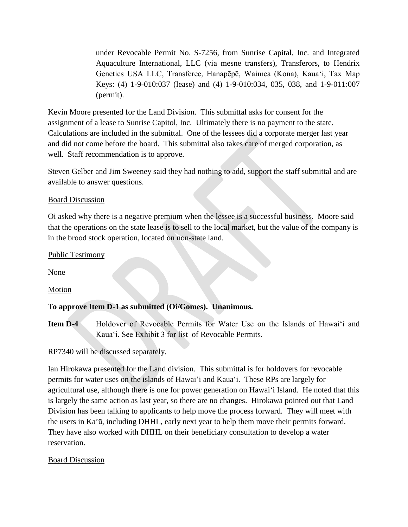under Revocable Permit No. S-7256, from Sunrise Capital, Inc. and Integrated Aquaculture International, LLC (via mesne transfers), Transferors, to Hendrix Genetics USA LLC, Transferee, Hanapēpē, Waimea (Kona), Kauaʻi, Tax Map Keys: (4) 1-9-010:037 (lease) and (4) 1-9-010:034, 035, 038, and 1-9-011:007 (permit).

Kevin Moore presented for the Land Division. This submittal asks for consent for the assignment of a lease to Sunrise Capitol, Inc. Ultimately there is no payment to the state. Calculations are included in the submittal. One of the lessees did a corporate merger last year and did not come before the board. This submittal also takes care of merged corporation, as well. Staff recommendation is to approve.

Steven Gelber and Jim Sweeney said they had nothing to add, support the staff submittal and are available to answer questions.

#### Board Discussion

Oi asked why there is a negative premium when the lessee is a successful business. Moore said that the operations on the state lease is to sell to the local market, but the value of the company is in the brood stock operation, located on non-state land.

#### Public Testimony

None

Motion

## T**o approve Item D-1 as submitted (Oi/Gomes). Unanimous.**

**Item D-4** Holdover of Revocable Permits for Water Use on the Islands of Hawai<sup>'</sup>i and Kauaʻi. See Exhibit 3 for list of Revocable Permits.

RP7340 will be discussed separately.

Ian Hirokawa presented for the Land division. This submittal is for holdovers for revocable permits for water uses on the islands of Hawai'i and Kauaʻi. These RPs are largely for agricultural use, although there is one for power generation on Hawaiʻi Island. He noted that this is largely the same action as last year, so there are no changes. Hirokawa pointed out that Land Division has been talking to applicants to help move the process forward. They will meet with the users in Ka'ū, including DHHL, early next year to help them move their permits forward. They have also worked with DHHL on their beneficiary consultation to develop a water reservation.

Board Discussion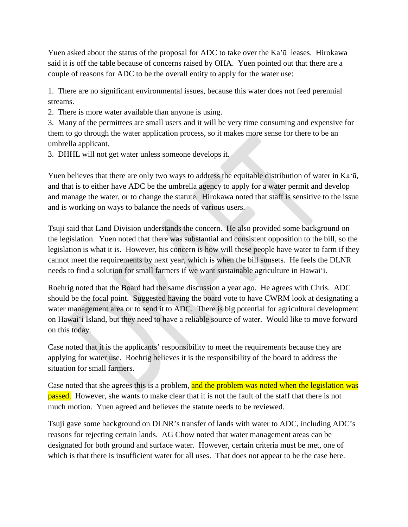Yuen asked about the status of the proposal for ADC to take over the Ka'ū leases. Hirokawa said it is off the table because of concerns raised by OHA. Yuen pointed out that there are a couple of reasons for ADC to be the overall entity to apply for the water use:

1. There are no significant environmental issues, because this water does not feed perennial streams.

2. There is more water available than anyone is using.

3. Many of the permittees are small users and it will be very time consuming and expensive for them to go through the water application process, so it makes more sense for there to be an umbrella applicant.

3. DHHL will not get water unless someone develops it.

Yuen believes that there are only two ways to address the equitable distribution of water in Kaʻū, and that is to either have ADC be the umbrella agency to apply for a water permit and develop and manage the water, or to change the statute. Hirokawa noted that staff is sensitive to the issue and is working on ways to balance the needs of various users.

Tsuji said that Land Division understands the concern. He also provided some background on the legislation. Yuen noted that there was substantial and consistent opposition to the bill, so the legislation is what it is. However, his concern is how will these people have water to farm if they cannot meet the requirements by next year, which is when the bill sunsets. He feels the DLNR needs to find a solution for small farmers if we want sustainable agriculture in Hawaiʻi.

Roehrig noted that the Board had the same discussion a year ago. He agrees with Chris. ADC should be the focal point. Suggested having the board vote to have CWRM look at designating a water management area or to send it to ADC. There is big potential for agricultural development on Hawaiʻi Island, but they need to have a reliable source of water. Would like to move forward on this today.

Case noted that it is the applicants' responsibility to meet the requirements because they are applying for water use. Roehrig believes it is the responsibility of the board to address the situation for small farmers.

Case noted that she agrees this is a problem, and the problem was noted when the legislation was passed. However, she wants to make clear that it is not the fault of the staff that there is not much motion. Yuen agreed and believes the statute needs to be reviewed.

Tsuji gave some background on DLNR's transfer of lands with water to ADC, including ADC's reasons for rejecting certain lands. AG Chow noted that water management areas can be designated for both ground and surface water. However, certain criteria must be met, one of which is that there is insufficient water for all uses. That does not appear to be the case here.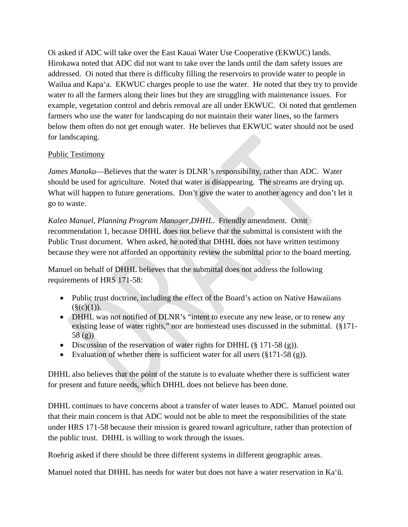Oi asked if ADC will take over the East Kauai Water Use Cooperative (EKWUC) lands. Hirokawa noted that ADC did not want to take over the lands until the dam safety issues are addressed. Oi noted that there is difficulty filling the reservoirs to provide water to people in Wailua and Kapaʻa. EKWUC charges people to use the water. He noted that they try to provide water to all the farmers along their lines but they are struggling with maintenance issues. For example, vegetation control and debris removal are all under EKWUC. Oi noted that gentlemen farmers who use the water for landscaping do not maintain their water lines, so the farmers below them often do not get enough water. He believes that EKWUC water should not be used for landscaping.

## Public Testimony

*James Manaku*—Believes that the water is DLNR's responsibility, rather than ADC. Water should be used for agriculture. Noted that water is disappearing. The streams are drying up. What will happen to future generations. Don't give the water to another agency and don't let it go to waste.

*Kaleo Manuel, Planning Program Manager,DHHL*. Friendly amendment. Omit recommendation 1, because DHHL does not believe that the submittal is consistent with the Public Trust document. When asked, he noted that DHHL does not have written testimony because they were not afforded an opportunity review the submittal prior to the board meeting.

Manuel on behalf of DHHL believes that the submittal does not address the following requirements of HRS 171-58:

- Public trust doctrine, including the effect of the Board's action on Native Hawaiians  $(\S(c)(1))$ .
- DHHL was not notified of DLNR's "intent to execute any new lease, or to renew any existing lease of water rights," nor are homestead uses discussed in the submittal. (§171- 58 (g))
- Discussion of the reservation of water rights for DHHL (§ 171-58 (g)).
- Evaluation of whether there is sufficient water for all users  $(\S171-58 \text{ (g)}).$

DHHL also believes that the point of the statute is to evaluate whether there is sufficient water for present and future needs, which DHHL does not believe has been done.

DHHL continues to have concerns about a transfer of water leases to ADC. Manuel pointed out that their main concern is that ADC would not be able to meet the responsibilities of the state under HRS 171-58 because their mission is geared toward agriculture, rather than protection of the public trust. DHHL is willing to work through the issues.

Roehrig asked if there should be three different systems in different geographic areas.

Manuel noted that DHHL has needs for water but does not have a water reservation in Kaʻū.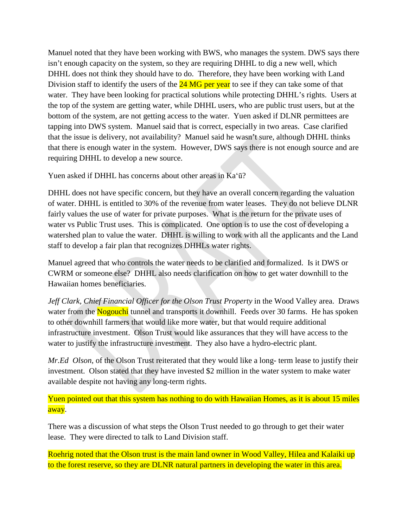Manuel noted that they have been working with BWS, who manages the system. DWS says there isn't enough capacity on the system, so they are requiring DHHL to dig a new well, which DHHL does not think they should have to do. Therefore, they have been working with Land Division staff to identify the users of the  $24 \text{ MG}$  per year to see if they can take some of that water. They have been looking for practical solutions while protecting DHHL's rights. Users at the top of the system are getting water, while DHHL users, who are public trust users, but at the bottom of the system, are not getting access to the water. Yuen asked if DLNR permittees are tapping into DWS system. Manuel said that is correct, especially in two areas. Case clarified that the issue is delivery, not availability? Manuel said he wasn't sure, although DHHL thinks that there is enough water in the system. However, DWS says there is not enough source and are requiring DHHL to develop a new source.

Yuen asked if DHHL has concerns about other areas in Kaʻū?

DHHL does not have specific concern, but they have an overall concern regarding the valuation of water. DHHL is entitled to 30% of the revenue from water leases. They do not believe DLNR fairly values the use of water for private purposes. What is the return for the private uses of water vs Public Trust uses. This is complicated. One option is to use the cost of developing a watershed plan to value the water. DHHL is willing to work with all the applicants and the Land staff to develop a fair plan that recognizes DHHLs water rights.

Manuel agreed that who controls the water needs to be clarified and formalized. Is it DWS or CWRM or someone else? DHHL also needs clarification on how to get water downhill to the Hawaiian homes beneficiaries.

*Jeff Clark, Chief Financial Officer for the Olson Trust Property* in the Wood Valley area. Draws water from the Nogouchi tunnel and transports it downhill. Feeds over 30 farms. He has spoken to other downhill farmers that would like more water, but that would require additional infrastructure investment. Olson Trust would like assurances that they will have access to the water to justify the infrastructure investment. They also have a hydro-electric plant.

*Mr.Ed Olson*, of the Olson Trust reiterated that they would like a long- term lease to justify their investment. Olson stated that they have invested \$2 million in the water system to make water available despite not having any long-term rights.

Yuen pointed out that this system has nothing to do with Hawaiian Homes, as it is about 15 miles away.

There was a discussion of what steps the Olson Trust needed to go through to get their water lease. They were directed to talk to Land Division staff.

Roehrig noted that the Olson trust is the main land owner in Wood Valley, Hilea and Kalaiki up to the forest reserve, so they are DLNR natural partners in developing the water in this area.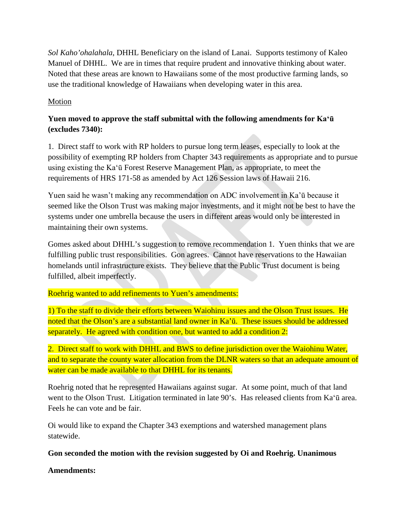*Sol Kaho'ohalahala*, DHHL Beneficiary on the island of Lanai. Supports testimony of Kaleo Manuel of DHHL. We are in times that require prudent and innovative thinking about water. Noted that these areas are known to Hawaiians some of the most productive farming lands, so use the traditional knowledge of Hawaiians when developing water in this area.

# Motion

# **Yuen moved to approve the staff submittal with the following amendments for Kaʻū (excludes 7340):**

1. Direct staff to work with RP holders to pursue long term leases, especially to look at the possibility of exempting RP holders from Chapter 343 requirements as appropriate and to pursue using existing the Kaʻū Forest Reserve Management Plan, as appropriate, to meet the requirements of HRS 171-58 as amended by Act 126 Session laws of Hawaii 216.

Yuen said he wasn't making any recommendation on ADC involvement in Ka'ū because it seemed like the Olson Trust was making major investments, and it might not be best to have the systems under one umbrella because the users in different areas would only be interested in maintaining their own systems.

Gomes asked about DHHL's suggestion to remove recommendation 1. Yuen thinks that we are fulfilling public trust responsibilities. Gon agrees. Cannot have reservations to the Hawaiian homelands until infrastructure exists. They believe that the Public Trust document is being fulfilled, albeit imperfectly.

## Roehrig wanted to add refinements to Yuen's amendments:

1) To the staff to divide their efforts between Waiohinu issues and the Olson Trust issues. He noted that the Olson's are a substantial land owner in Ka'ū. These issues should be addressed separately. He agreed with condition one, but wanted to add a condition 2:

2. Direct staff to work with DHHL and BWS to define jurisdiction over the Waiohinu Water, and to separate the county water allocation from the DLNR waters so that an adequate amount of water can be made available to that DHHL for its tenants.

Roehrig noted that he represented Hawaiians against sugar. At some point, much of that land went to the Olson Trust. Litigation terminated in late 90's. Has released clients from Kaʻū area. Feels he can vote and be fair.

Oi would like to expand the Chapter 343 exemptions and watershed management plans statewide.

## **Gon seconded the motion with the revision suggested by Oi and Roehrig. Unanimous**

**Amendments:**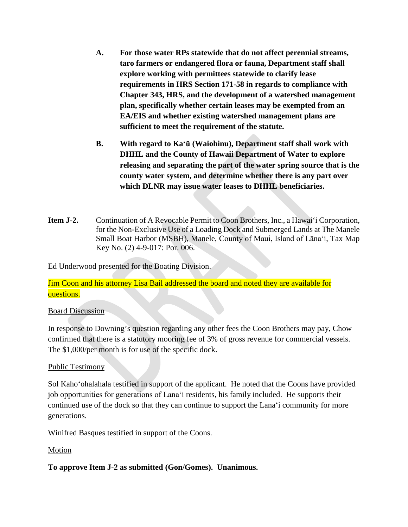- **A. For those water RPs statewide that do not affect perennial streams, taro farmers or endangered flora or fauna, Department staff shall explore working with permittees statewide to clarify lease requirements in HRS Section 171-58 in regards to compliance with Chapter 343, HRS, and the development of a watershed management plan, specifically whether certain leases may be exempted from an EA/EIS and whether existing watershed management plans are sufficient to meet the requirement of the statute.**
- **B. With regard to Kaʻū (Waiohinu), Department staff shall work with DHHL and the County of Hawaii Department of Water to explore releasing and separating the part of the water spring source that is the county water system, and determine whether there is any part over which DLNR may issue water leases to DHHL beneficiaries.**
- **Item J-2.** Continuation of A Revocable Permit to Coon Brothers, Inc., a Hawai'i Corporation, for the Non-Exclusive Use of a Loading Dock and Submerged Lands at The Manele Small Boat Harbor (MSBH), Manele, County of Maui, Island of Lānaʻi, Tax Map Key No. (2) 4-9-017: Por. 006.

Ed Underwood presented for the Boating Division.

Jim Coon and his attorney Lisa Bail addressed the board and noted they are available for questions.

## Board Discussion

In response to Downing's question regarding any other fees the Coon Brothers may pay, Chow confirmed that there is a statutory mooring fee of 3% of gross revenue for commercial vessels. The \$1,000/per month is for use of the specific dock.

## Public Testimony

Sol Kahoʻohalahala testified in support of the applicant. He noted that the Coons have provided job opportunities for generations of Lanaʻi residents, his family included. He supports their continued use of the dock so that they can continue to support the Lanaʻi community for more generations.

Winifred Basques testified in support of the Coons.

# **Motion**

**To approve Item J-2 as submitted (Gon/Gomes). Unanimous.**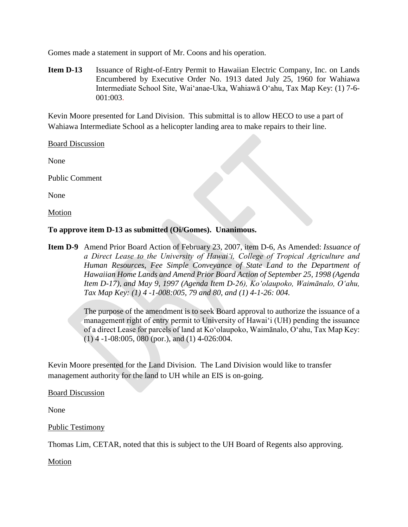Gomes made a statement in support of Mr. Coons and his operation.

**Item D-13** Issuance of Right-of-Entry Permit to Hawaiian Electric Company, Inc. on Lands Encumbered by Executive Order No. 1913 dated July 25, 1960 for Wahiawa Intermediate School Site, Waiʻanae-Uka, Wahiawā Oʻahu*,* Tax Map Key: (1) 7-6- 001:003.

Kevin Moore presented for Land Division. This submittal is to allow HECO to use a part of Wahiawa Intermediate School as a helicopter landing area to make repairs to their line.

Board Discussion

None

Public Comment

None

Motion

**To approve item D-13 as submitted (Oi/Gomes). Unanimous.** 

**Item D-9** Amend Prior Board Action of February 23, 2007, item D-6, As Amended: *Issuance of a Direct Lease to the University of Hawaiʻi, College of Tropical Agriculture and Human Resources, Fee Simple Conveyance of State Land to the Department of Hawaiian Home Lands and Amend Prior Board Action of September 25, 1998 (Agenda Item D-17), and May 9, 1997 (Agenda Item D-26), Koʻolaupoko, Waimānalo, Oʻahu, Tax Map Key: (1) 4 -1-008:005, 79 and 80, and (1) 4-1-26: 004.*

> The purpose of the amendment is to seek Board approval to authorize the issuance of a management right of entry permit to University of Hawaiʻi (UH) pending the issuance of a direct Lease for parcels of land at Koʻolaupoko, Waimānalo, Oʻahu, Tax Map Key: (1) 4 -1-08:005, 080 (por.), and (1) 4-026:004.

Kevin Moore presented for the Land Division. The Land Division would like to transfer management authority for the land to UH while an EIS is on-going.

Board Discussion

None

Public Testimony

Thomas Lim, CETAR, noted that this is subject to the UH Board of Regents also approving.

Motion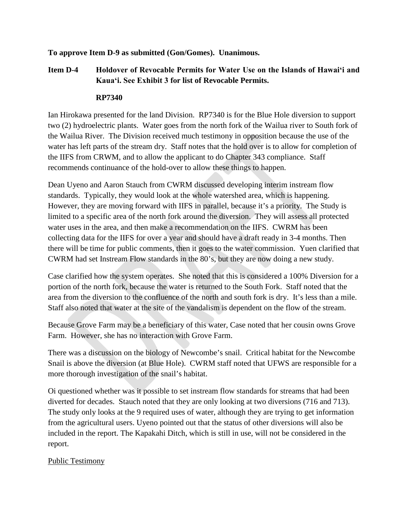# **To approve Item D-9 as submitted (Gon/Gomes). Unanimous.**

# **Item D-4 Holdover of Revocable Permits for Water Use on the Islands of Hawaiʻi and Kauaʻi. See Exhibit 3 for list of Revocable Permits.**

## **RP7340**

Ian Hirokawa presented for the land Division. RP7340 is for the Blue Hole diversion to support two (2) hydroelectric plants. Water goes from the north fork of the Wailua river to South fork of the Wailua River. The Division received much testimony in opposition because the use of the water has left parts of the stream dry. Staff notes that the hold over is to allow for completion of the IIFS from CRWM, and to allow the applicant to do Chapter 343 compliance. Staff recommends continuance of the hold-over to allow these things to happen.

Dean Uyeno and Aaron Stauch from CWRM discussed developing interim instream flow standards. Typically, they would look at the whole watershed area, which is happening. However, they are moving forward with IIFS in parallel, because it's a priority. The Study is limited to a specific area of the north fork around the diversion. They will assess all protected water uses in the area, and then make a recommendation on the IIFS. CWRM has been collecting data for the IIFS for over a year and should have a draft ready in 3-4 months. Then there will be time for public comments, then it goes to the water commission. Yuen clarified that CWRM had set Instream Flow standards in the 80's, but they are now doing a new study.

Case clarified how the system operates. She noted that this is considered a 100% Diversion for a portion of the north fork, because the water is returned to the South Fork. Staff noted that the area from the diversion to the confluence of the north and south fork is dry. It's less than a mile. Staff also noted that water at the site of the vandalism is dependent on the flow of the stream.

Because Grove Farm may be a beneficiary of this water, Case noted that her cousin owns Grove Farm. However, she has no interaction with Grove Farm.

There was a discussion on the biology of Newcombe's snail. Critical habitat for the Newcombe Snail is above the diversion (at Blue Hole). CWRM staff noted that UFWS are responsible for a more thorough investigation of the snail's habitat.

Oi questioned whether was it possible to set instream flow standards for streams that had been diverted for decades. Stauch noted that they are only looking at two diversions (716 and 713). The study only looks at the 9 required uses of water, although they are trying to get information from the agricultural users. Uyeno pointed out that the status of other diversions will also be included in the report. The Kapakahi Ditch, which is still in use, will not be considered in the report.

## Public Testimony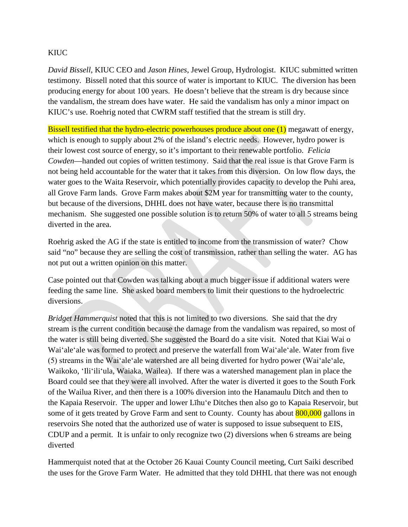## **KIUC**

*David Bissell*, KIUC CEO and *Jason Hines*, Jewel Group, Hydrologist. KIUC submitted written testimony. Bissell noted that this source of water is important to KIUC. The diversion has been producing energy for about 100 years. He doesn't believe that the stream is dry because since the vandalism, the stream does have water. He said the vandalism has only a minor impact on KIUC's use. Roehrig noted that CWRM staff testified that the stream is still dry.

Bissell testified that the hydro-electric powerhouses produce about one (1) megawatt of energy, which is enough to supply about 2% of the island's electric needs. However, hydro power is their lowest cost source of energy, so it's important to their renewable portfolio. *Felicia Cowden*—handed out copies of written testimony. Said that the real issue is that Grove Farm is not being held accountable for the water that it takes from this diversion. On low flow days, the water goes to the Waita Reservoir, which potentially provides capacity to develop the Puhi area, all Grove Farm lands. Grove Farm makes about \$2M year for transmitting water to the county, but because of the diversions, DHHL does not have water, because there is no transmittal mechanism. She suggested one possible solution is to return 50% of water to all 5 streams being diverted in the area.

Roehrig asked the AG if the state is entitled to income from the transmission of water? Chow said "no" because they are selling the cost of transmission, rather than selling the water. AG has not put out a written opinion on this matter.

Case pointed out that Cowden was talking about a much bigger issue if additional waters were feeding the same line. She asked board members to limit their questions to the hydroelectric diversions.

*Bridget Hammerquist* noted that this is not limited to two diversions. She said that the dry stream is the current condition because the damage from the vandalism was repaired, so most of the water is still being diverted. She suggested the Board do a site visit. Noted that Kiai Wai o Waiʻaleʻale was formed to protect and preserve the waterfall from Waiʻaleʻale. Water from five (5) streams in the Waiʻaleʻale watershed are all being diverted for hydro power (Waiʻaleʻale, Waikoko, ʻIliʻiliʻula, Waiaka, Wailea). If there was a watershed management plan in place the Board could see that they were all involved. After the water is diverted it goes to the South Fork of the Wailua River, and then there is a 100% diversion into the Hanamaulu Ditch and then to the Kapaia Reservoir. The upper and lower Līhuʻe Ditches then also go to Kapaia Reservoir, but some of it gets treated by Grove Farm and sent to County. County has about 800,000 gallons in reservoirs She noted that the authorized use of water is supposed to issue subsequent to EIS, CDUP and a permit. It is unfair to only recognize two (2) diversions when 6 streams are being diverted

Hammerquist noted that at the October 26 Kauai County Council meeting, Curt Saiki described the uses for the Grove Farm Water. He admitted that they told DHHL that there was not enough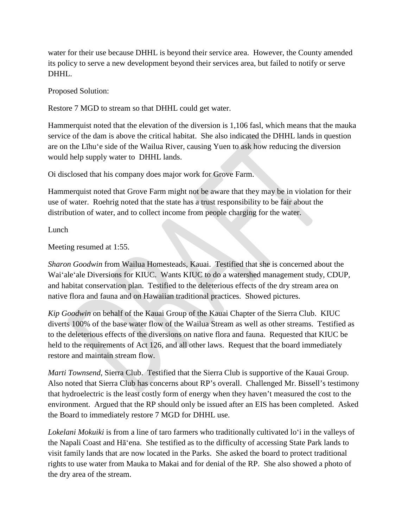water for their use because DHHL is beyond their service area. However, the County amended its policy to serve a new development beyond their services area, but failed to notify or serve DHHL.

Proposed Solution:

Restore 7 MGD to stream so that DHHL could get water.

Hammerquist noted that the elevation of the diversion is 1,106 fasl, which means that the mauka service of the dam is above the critical habitat. She also indicated the DHHL lands in question are on the Līhuʻe side of the Wailua River, causing Yuen to ask how reducing the diversion would help supply water to DHHL lands.

Oi disclosed that his company does major work for Grove Farm.

Hammerquist noted that Grove Farm might not be aware that they may be in violation for their use of water. Roehrig noted that the state has a trust responsibility to be fair about the distribution of water, and to collect income from people charging for the water.

Lunch

Meeting resumed at 1:55.

*Sharon Goodwin* from Wailua Homesteads, Kauai. Testified that she is concerned about the Waiʻaleʻale Diversions for KIUC. Wants KIUC to do a watershed management study, CDUP, and habitat conservation plan. Testified to the deleterious effects of the dry stream area on native flora and fauna and on Hawaiian traditional practices. Showed pictures.

*Kip Goodwin* on behalf of the Kauai Group of the Kauai Chapter of the Sierra Club. KIUC diverts 100% of the base water flow of the Wailua Stream as well as other streams. Testified as to the deleterious effects of the diversions on native flora and fauna. Requested that KIUC be held to the requirements of Act 126, and all other laws. Request that the board immediately restore and maintain stream flow.

*Marti Townsend*, Sierra Club. Testified that the Sierra Club is supportive of the Kauai Group. Also noted that Sierra Club has concerns about RP's overall. Challenged Mr. Bissell's testimony that hydroelectric is the least costly form of energy when they haven't measured the cost to the environment. Argued that the RP should only be issued after an EIS has been completed. Asked the Board to immediately restore 7 MGD for DHHL use.

*Lokelani Mokuiki* is from a line of taro farmers who traditionally cultivated loʻi in the valleys of the Napali Coast and Hāʻena. She testified as to the difficulty of accessing State Park lands to visit family lands that are now located in the Parks. She asked the board to protect traditional rights to use water from Mauka to Makai and for denial of the RP. She also showed a photo of the dry area of the stream.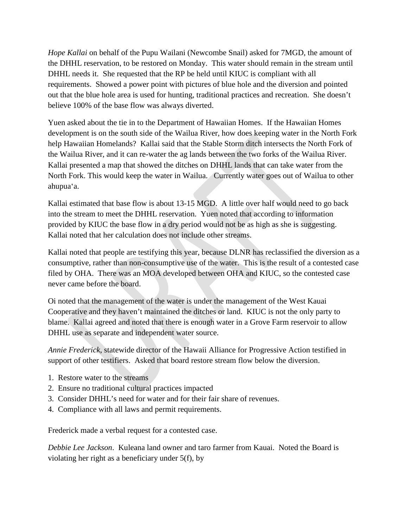*Hope Kallai* on behalf of the Pupu Wailani (Newcombe Snail) asked for 7MGD, the amount of the DHHL reservation, to be restored on Monday. This water should remain in the stream until DHHL needs it. She requested that the RP be held until KIUC is compliant with all requirements. Showed a power point with pictures of blue hole and the diversion and pointed out that the blue hole area is used for hunting, traditional practices and recreation. She doesn't believe 100% of the base flow was always diverted.

Yuen asked about the tie in to the Department of Hawaiian Homes. If the Hawaiian Homes development is on the south side of the Wailua River, how does keeping water in the North Fork help Hawaiian Homelands? Kallai said that the Stable Storm ditch intersects the North Fork of the Wailua River, and it can re-water the ag lands between the two forks of the Wailua River. Kallai presented a map that showed the ditches on DHHL lands that can take water from the North Fork. This would keep the water in Wailua. Currently water goes out of Wailua to other ahupuaʻa.

Kallai estimated that base flow is about 13-15 MGD. A little over half would need to go back into the stream to meet the DHHL reservation. Yuen noted that according to information provided by KIUC the base flow in a dry period would not be as high as she is suggesting. Kallai noted that her calculation does not include other streams.

Kallai noted that people are testifying this year, because DLNR has reclassified the diversion as a consumptive, rather than non-consumptive use of the water. This is the result of a contested case filed by OHA. There was an MOA developed between OHA and KIUC, so the contested case never came before the board.

Oi noted that the management of the water is under the management of the West Kauai Cooperative and they haven't maintained the ditches or land. KIUC is not the only party to blame. Kallai agreed and noted that there is enough water in a Grove Farm reservoir to allow DHHL use as separate and independent water source.

*Annie Frederick*, statewide director of the Hawaii Alliance for Progressive Action testified in support of other testifiers. Asked that board restore stream flow below the diversion.

- 1. Restore water to the streams
- 2. Ensure no traditional cultural practices impacted
- 3. Consider DHHL's need for water and for their fair share of revenues.
- 4. Compliance with all laws and permit requirements.

Frederick made a verbal request for a contested case.

*Debbie Lee Jackson*. Kuleana land owner and taro farmer from Kauai. Noted the Board is violating her right as a beneficiary under 5(f), by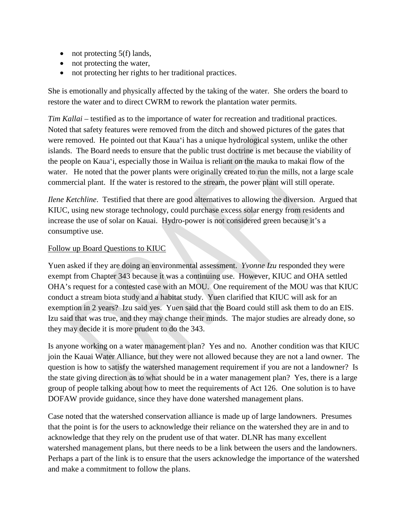- not protecting 5(f) lands,
- not protecting the water,
- not protecting her rights to her traditional practices.

She is emotionally and physically affected by the taking of the water. She orders the board to restore the water and to direct CWRM to rework the plantation water permits.

*Tim Kallai* – testified as to the importance of water for recreation and traditional practices. Noted that safety features were removed from the ditch and showed pictures of the gates that were removed. He pointed out that Kauaʻi has a unique hydrological system, unlike the other islands. The Board needs to ensure that the public trust doctrine is met because the viability of the people on Kauaʻi, especially those in Wailua is reliant on the mauka to makai flow of the water. He noted that the power plants were originally created to run the mills, not a large scale commercial plant. If the water is restored to the stream, the power plant will still operate.

*Ilene Ketchline*. Testified that there are good alternatives to allowing the diversion. Argued that KIUC, using new storage technology, could purchase excess solar energy from residents and increase the use of solar on Kauai. Hydro-power is not considered green because it's a consumptive use.

#### Follow up Board Questions to KIUC

Yuen asked if they are doing an environmental assessment. *Yvonne Izu* responded they were exempt from Chapter 343 because it was a continuing use. However, KIUC and OHA settled OHA's request for a contested case with an MOU. One requirement of the MOU was that KIUC conduct a stream biota study and a habitat study. Yuen clarified that KIUC will ask for an exemption in 2 years? Izu said yes. Yuen said that the Board could still ask them to do an EIS. Izu said that was true, and they may change their minds. The major studies are already done, so they may decide it is more prudent to do the 343.

Is anyone working on a water management plan? Yes and no. Another condition was that KIUC join the Kauai Water Alliance, but they were not allowed because they are not a land owner. The question is how to satisfy the watershed management requirement if you are not a landowner? Is the state giving direction as to what should be in a water management plan? Yes, there is a large group of people talking about how to meet the requirements of Act 126. One solution is to have DOFAW provide guidance, since they have done watershed management plans.

Case noted that the watershed conservation alliance is made up of large landowners. Presumes that the point is for the users to acknowledge their reliance on the watershed they are in and to acknowledge that they rely on the prudent use of that water. DLNR has many excellent watershed management plans, but there needs to be a link between the users and the landowners. Perhaps a part of the link is to ensure that the users acknowledge the importance of the watershed and make a commitment to follow the plans.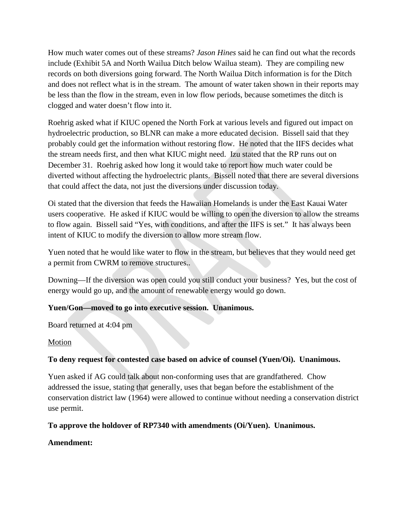How much water comes out of these streams? *Jason Hines* said he can find out what the records include (Exhibit 5A and North Wailua Ditch below Wailua steam). They are compiling new records on both diversions going forward. The North Wailua Ditch information is for the Ditch and does not reflect what is in the stream. The amount of water taken shown in their reports may be less than the flow in the stream, even in low flow periods, because sometimes the ditch is clogged and water doesn't flow into it.

Roehrig asked what if KIUC opened the North Fork at various levels and figured out impact on hydroelectric production, so BLNR can make a more educated decision. Bissell said that they probably could get the information without restoring flow. He noted that the IIFS decides what the stream needs first, and then what KIUC might need. Izu stated that the RP runs out on December 31. Roehrig asked how long it would take to report how much water could be diverted without affecting the hydroelectric plants. Bissell noted that there are several diversions that could affect the data, not just the diversions under discussion today.

Oi stated that the diversion that feeds the Hawaiian Homelands is under the East Kauai Water users cooperative. He asked if KIUC would be willing to open the diversion to allow the streams to flow again. Bissell said "Yes, with conditions, and after the IIFS is set." It has always been intent of KIUC to modify the diversion to allow more stream flow.

Yuen noted that he would like water to flow in the stream, but believes that they would need get a permit from CWRM to remove structures..

Downing—If the diversion was open could you still conduct your business? Yes, but the cost of energy would go up, and the amount of renewable energy would go down.

# **Yuen/Gon—moved to go into executive session. Unanimous.**

Board returned at 4:04 pm

## Motion

## **To deny request for contested case based on advice of counsel (Yuen/Oi). Unanimous.**

Yuen asked if AG could talk about non-conforming uses that are grandfathered. Chow addressed the issue, stating that generally, uses that began before the establishment of the conservation district law (1964) were allowed to continue without needing a conservation district use permit.

## **To approve the holdover of RP7340 with amendments (Oi/Yuen). Unanimous.**

## **Amendment:**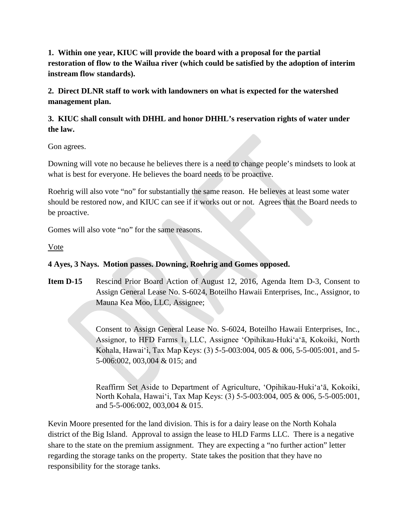**1. Within one year, KIUC will provide the board with a proposal for the partial restoration of flow to the Wailua river (which could be satisfied by the adoption of interim instream flow standards).** 

**2. Direct DLNR staff to work with landowners on what is expected for the watershed management plan.**

# **3. KIUC shall consult with DHHL and honor DHHL's reservation rights of water under the law.**

Gon agrees.

Downing will vote no because he believes there is a need to change people's mindsets to look at what is best for everyone. He believes the board needs to be proactive.

Roehrig will also vote "no" for substantially the same reason. He believes at least some water should be restored now, and KIUC can see if it works out or not. Agrees that the Board needs to be proactive.

Gomes will also vote "no" for the same reasons.

Vote

# **4 Ayes, 3 Nays. Motion passes. Downing, Roehrig and Gomes opposed.**

**Item D-15** Rescind Prior Board Action of August 12, 2016, Agenda Item D-3, Consent to Assign General Lease No. S-6024, Boteilho Hawaii Enterprises, Inc., Assignor, to Mauna Kea Moo, LLC, Assignee;

> Consent to Assign General Lease No. S-6024, Boteilho Hawaii Enterprises, Inc., Assignor, to HFD Farms 1, LLC, Assignee ʻOpihikau-Hukiʻaʻā, Kokoiki, North Kohala, Hawaiʻi, Tax Map Keys: (3) 5-5-003:004, 005 & 006, 5-5-005:001, and 5- 5-006:002, 003,004 & 015; and

> Reaffirm Set Aside to Department of Agriculture, ʻOpihikau-Hukiʻaʻā, Kokoiki, North Kohala, Hawaiʻi, Tax Map Keys: (3) 5-5-003:004, 005 & 006, 5-5-005:001, and 5-5-006:002, 003,004 & 015.

Kevin Moore presented for the land division. This is for a dairy lease on the North Kohala district of the Big Island. Approval to assign the lease to HLD Farms LLC. There is a negative share to the state on the premium assignment. They are expecting a "no further action" letter regarding the storage tanks on the property. State takes the position that they have no responsibility for the storage tanks.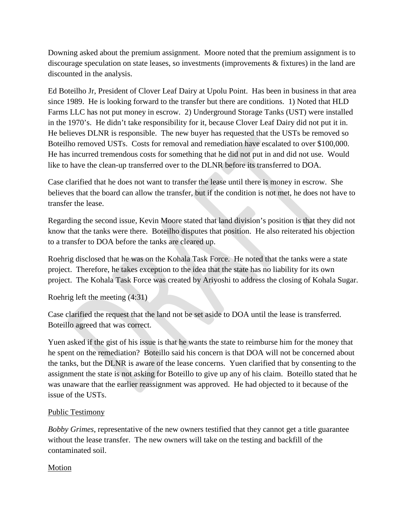Downing asked about the premium assignment. Moore noted that the premium assignment is to discourage speculation on state leases, so investments (improvements & fixtures) in the land are discounted in the analysis.

Ed Boteilho Jr, President of Clover Leaf Dairy at Upolu Point. Has been in business in that area since 1989. He is looking forward to the transfer but there are conditions. 1) Noted that HLD Farms LLC has not put money in escrow. 2) Underground Storage Tanks (UST) were installed in the 1970's. He didn't take responsibility for it, because Clover Leaf Dairy did not put it in. He believes DLNR is responsible. The new buyer has requested that the USTs be removed so Boteilho removed USTs. Costs for removal and remediation have escalated to over \$100,000. He has incurred tremendous costs for something that he did not put in and did not use. Would like to have the clean-up transferred over to the DLNR before its transferred to DOA.

Case clarified that he does not want to transfer the lease until there is money in escrow. She believes that the board can allow the transfer, but if the condition is not met, he does not have to transfer the lease.

Regarding the second issue, Kevin Moore stated that land division's position is that they did not know that the tanks were there. Boteilho disputes that position. He also reiterated his objection to a transfer to DOA before the tanks are cleared up.

Roehrig disclosed that he was on the Kohala Task Force. He noted that the tanks were a state project. Therefore, he takes exception to the idea that the state has no liability for its own project. The Kohala Task Force was created by Ariyoshi to address the closing of Kohala Sugar.

Roehrig left the meeting (4:31)

Case clarified the request that the land not be set aside to DOA until the lease is transferred. Boteillo agreed that was correct.

Yuen asked if the gist of his issue is that he wants the state to reimburse him for the money that he spent on the remediation? Boteillo said his concern is that DOA will not be concerned about the tanks, but the DLNR is aware of the lease concerns. Yuen clarified that by consenting to the assignment the state is not asking for Boteillo to give up any of his claim. Boteillo stated that he was unaware that the earlier reassignment was approved. He had objected to it because of the issue of the USTs.

## Public Testimony

*Bobby Grimes*, representative of the new owners testified that they cannot get a title guarantee without the lease transfer. The new owners will take on the testing and backfill of the contaminated soil.

## Motion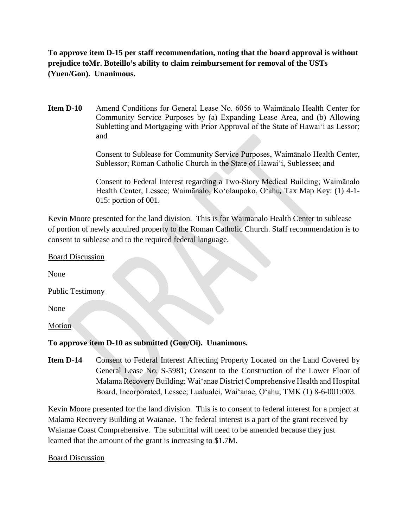**To approve item D-15 per staff recommendation, noting that the board approval is without prejudice toMr. Boteillo's ability to claim reimbursement for removal of the USTs (Yuen/Gon). Unanimous.**

**Item D-10** Amend Conditions for General Lease No. 6056 to Waimānalo Health Center for Community Service Purposes by (a) Expanding Lease Area, and (b) Allowing Subletting and Mortgaging with Prior Approval of the State of Hawaiʻi as Lessor; and

> Consent to Sublease for Community Service Purposes, Waimānalo Health Center, Sublessor; Roman Catholic Church in the State of Hawaiʻi, Sublessee; and

> Consent to Federal Interest regarding a Two-Story Medical Building; Waimānalo Health Center, Lessee; Waimānalo, Koʻolaupoko, Oʻahu*,* Tax Map Key: (1) 4-1- 015: portion of 001.

Kevin Moore presented for the land division. This is for Waimanalo Health Center to sublease of portion of newly acquired property to the Roman Catholic Church. Staff recommendation is to consent to sublease and to the required federal language.

Board Discussion

None

Public Testimony

None

**Motion** 

## **To approve item D-10 as submitted (Gon/Oi). Unanimous.**

**Item D-14** Consent to Federal Interest Affecting Property Located on the Land Covered by General Lease No. S-5981; Consent to the Construction of the Lower Floor of Malama Recovery Building; Waiʻanae District Comprehensive Health and Hospital Board, Incorporated, Lessee; Lualualei, Waiʻanae, Oʻahu; TMK (1) 8-6-001:003.

Kevin Moore presented for the land division. This is to consent to federal interest for a project at Malama Recovery Building at Waianae. The federal interest is a part of the grant received by Waianae Coast Comprehensive. The submittal will need to be amended because they just learned that the amount of the grant is increasing to \$1.7M.

#### Board Discussion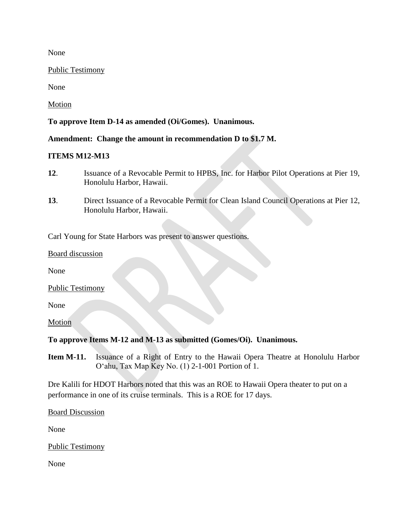None

Public Testimony

None

Motion

**To approve Item D-14 as amended (Oi/Gomes). Unanimous.** 

**Amendment: Change the amount in recommendation D to \$1.7 M.**

#### **ITEMS M12-M13**

- **12**. Issuance of a Revocable Permit to HPBS, Inc. for Harbor Pilot Operations at Pier 19, Honolulu Harbor, Hawaii.
- **13**. Direct Issuance of a Revocable Permit for Clean Island Council Operations at Pier 12, Honolulu Harbor, Hawaii.

Carl Young for State Harbors was present to answer questions.

#### Board discussion

None

Public Testimony

None

Motion

## **To approve Items M-12 and M-13 as submitted (Gomes/Oi). Unanimous.**

**Item M-11.** Issuance of a Right of Entry to the Hawaii Opera Theatre at Honolulu Harbor Oʻahu, Tax Map Key No. (1) 2-1-001 Portion of 1.

Dre Kalili for HDOT Harbors noted that this was an ROE to Hawaii Opera theater to put on a performance in one of its cruise terminals. This is a ROE for 17 days.

Board Discussion

None

Public Testimony

None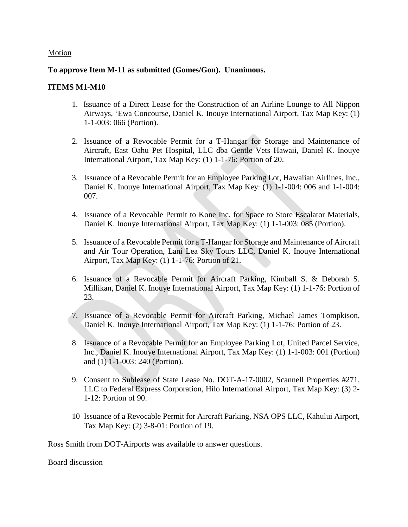#### Motion

#### **To approve Item M-11 as submitted (Gomes/Gon). Unanimous.**

#### **ITEMS M1-M10**

- 1. Issuance of a Direct Lease for the Construction of an Airline Lounge to All Nippon Airways, ʻEwa Concourse, Daniel K. Inouye International Airport, Tax Map Key: (1) 1-1-003: 066 (Portion).
- 2. Issuance of a Revocable Permit for a T-Hangar for Storage and Maintenance of Aircraft, East Oahu Pet Hospital, LLC dba Gentle Vets Hawaii, Daniel K. Inouye International Airport, Tax Map Key: (1) 1-1-76: Portion of 20.
- 3. Issuance of a Revocable Permit for an Employee Parking Lot, Hawaiian Airlines, Inc., Daniel K. Inouye International Airport, Tax Map Key: (1) 1-1-004: 006 and 1-1-004: 007.
- 4. Issuance of a Revocable Permit to Kone Inc. for Space to Store Escalator Materials, Daniel K. Inouye International Airport, Tax Map Key: (1) 1-1-003: 085 (Portion).
- 5. Issuance of a Revocable Permit for a T-Hangar for Storage and Maintenance of Aircraft and Air Tour Operation, Lani Lea Sky Tours LLC, Daniel K. Inouye International Airport, Tax Map Key: (1) 1-1-76: Portion of 21.
- 6. Issuance of a Revocable Permit for Aircraft Parking, Kimball S. & Deborah S. Millikan, Daniel K. Inouye International Airport, Tax Map Key: (1) 1-1-76: Portion of 23.
- 7. Issuance of a Revocable Permit for Aircraft Parking, Michael James Tompkison, Daniel K. Inouye International Airport, Tax Map Key: (1) 1-1-76: Portion of 23.
- 8. Issuance of a Revocable Permit for an Employee Parking Lot, United Parcel Service, Inc., Daniel K. Inouye International Airport, Tax Map Key: (1) 1-1-003: 001 (Portion) and (1) 1-1-003: 240 (Portion).
- 9. Consent to Sublease of State Lease No. DOT-A-17-0002, Scannell Properties #271, LLC to Federal Express Corporation, Hilo International Airport, Tax Map Key: (3) 2- 1-12: Portion of 90.
- 10 Issuance of a Revocable Permit for Aircraft Parking, NSA OPS LLC, Kahului Airport, Tax Map Key: (2) 3-8-01: Portion of 19.

Ross Smith from DOT-Airports was available to answer questions.

#### Board discussion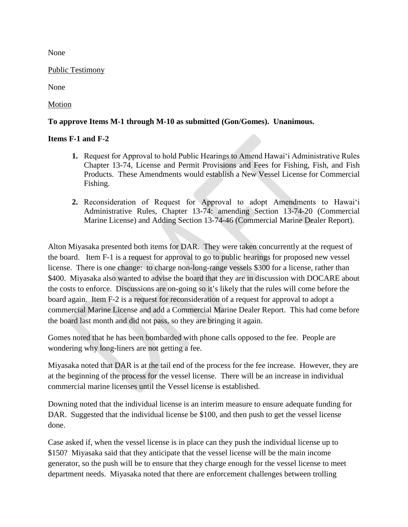None

Public Testimony

None

Motion

#### **To approve Items M-1 through M-10 as submitted (Gon/Gomes). Unanimous.**

#### **Items F-1 and F-2**

- **1.** Request for Approval to hold Public Hearings to Amend Hawaiʻi Administrative Rules Chapter 13-74, License and Permit Provisions and Fees for Fishing, Fish, and Fish Products. These Amendments would establish a New Vessel License for Commercial Fishing.
- **2.** Reconsideration of Request for Approval to adopt Amendments to Hawaiʻi Administrative Rules, Chapter 13-74: amending Section 13-74-20 (Commercial Marine License) and Adding Section 13-74-46 (Commercial Marine Dealer Report).

Alton Miyasaka presented both items for DAR. They were taken concurrently at the request of the board. Item F-1 is a request for approval to go to public hearings for proposed new vessel license. There is one change: to charge non-long-range vessels \$300 for a license, rather than \$400. Miyasaka also wanted to advise the board that they are in discussion with DOCARE about the costs to enforce. Discussions are on-going so it's likely that the rules will come before the board again. Item F-2 is a request for reconsideration of a request for approval to adopt a commercial Marine License and add a Commercial Marine Dealer Report. This had come before the board last month and did not pass, so they are bringing it again.

Gomes noted that he has been bombarded with phone calls opposed to the fee. People are wondering why long-liners are not getting a fee.

Miyasaka noted that DAR is at the tail end of the process for the fee increase. However, they are at the beginning of the process for the vessel license. There will be an increase in individual commercial marine licenses until the Vessel license is established.

Downing noted that the individual license is an interim measure to ensure adequate funding for DAR. Suggested that the individual license be \$100, and then push to get the vessel license done.

Case asked if, when the vessel license is in place can they push the individual license up to \$150? Miyasaka said that they anticipate that the vessel license will be the main income generator, so the push will be to ensure that they charge enough for the vessel license to meet department needs. Miyasaka noted that there are enforcement challenges between trolling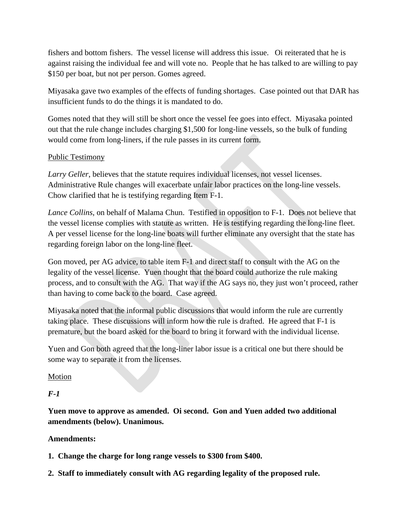fishers and bottom fishers. The vessel license will address this issue. Oi reiterated that he is against raising the individual fee and will vote no. People that he has talked to are willing to pay \$150 per boat, but not per person. Gomes agreed.

Miyasaka gave two examples of the effects of funding shortages. Case pointed out that DAR has insufficient funds to do the things it is mandated to do.

Gomes noted that they will still be short once the vessel fee goes into effect. Miyasaka pointed out that the rule change includes charging \$1,500 for long-line vessels, so the bulk of funding would come from long-liners, if the rule passes in its current form.

# Public Testimony

*Larry Geller*, believes that the statute requires individual licenses, not vessel licenses. Administrative Rule changes will exacerbate unfair labor practices on the long-line vessels. Chow clarified that he is testifying regarding Item F-1.

*Lance Collins*, on behalf of Malama Chun. Testified in opposition to F-1. Does not believe that the vessel license complies with statute as written. He is testifying regarding the long-line fleet. A per vessel license for the long-line boats will further eliminate any oversight that the state has regarding foreign labor on the long-line fleet.

Gon moved, per AG advice, to table item F-1 and direct staff to consult with the AG on the legality of the vessel license. Yuen thought that the board could authorize the rule making process, and to consult with the AG. That way if the AG says no, they just won't proceed, rather than having to come back to the board. Case agreed.

Miyasaka noted that the informal public discussions that would inform the rule are currently taking place. These discussions will inform how the rule is drafted. He agreed that F-1 is premature, but the board asked for the board to bring it forward with the individual license.

Yuen and Gon both agreed that the long-liner labor issue is a critical one but there should be some way to separate it from the licenses.

# **Motion**

*F-1*

**Yuen move to approve as amended. Oi second. Gon and Yuen added two additional amendments (below). Unanimous.** 

# **Amendments:**

- **1. Change the charge for long range vessels to \$300 from \$400.**
- **2. Staff to immediately consult with AG regarding legality of the proposed rule.**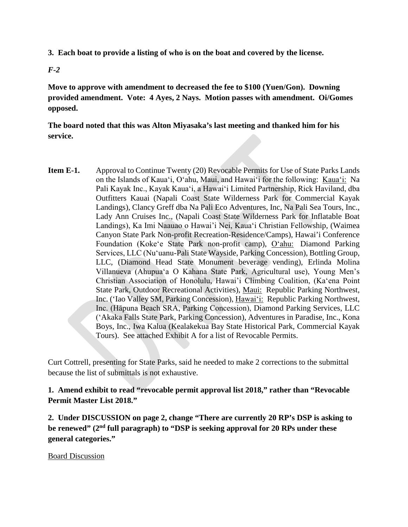**3. Each boat to provide a listing of who is on the boat and covered by the license.** 

*F-2*

**Move to approve with amendment to decreased the fee to \$100 (Yuen/Gon). Downing provided amendment. Vote: 4 Ayes, 2 Nays. Motion passes with amendment. Oi/Gomes opposed.** 

**The board noted that this was Alton Miyasaka's last meeting and thanked him for his service.** 

**Item E-1.** Approval to Continue Twenty (20) Revocable Permits for Use of State Parks Lands on the Islands of Kauaʻi, Oʻahu, Maui, and Hawaiʻi for the following: Kauaʻi: Na Pali Kayak Inc., Kayak Kauaʻi, a Hawaiʻi Limited Partnership, Rick Haviland, dba Outfitters Kauai (Napali Coast State Wilderness Park for Commercial Kayak Landings), Clancy Greff dba Na Pali Eco Adventures, Inc, Na Pali Sea Tours, Inc., Lady Ann Cruises Inc., (Napali Coast State Wilderness Park for Inflatable Boat Landings), Ka Imi Naauao o Hawai'i Nei, Kauaʻi Christian Fellowship, (Waimea Canyon State Park Non-profit Recreation-Residence/Camps), Hawai'i Conference Foundation (Kokeʻe State Park non-profit camp), Oʻahu: Diamond Parking Services, LLC (Nuʻuanu-Pali State Wayside, Parking Concession), Bottling Group, LLC, (Diamond Head State Monument beverage vending), Erlinda Molina Villanueva (Ahupuaʻa O Kahana State Park, Agricultural use), Young Men's Christian Association of Honolulu, Hawai'i Climbing Coalition, (Kaʻena Point State Park, Outdoor Recreational Activities), Maui: Republic Parking Northwest, Inc. ('Iao Valley SM, Parking Concession), Hawaiʻi: Republic Parking Northwest, Inc. (Hāpuna Beach SRA, Parking Concession), Diamond Parking Services, LLC (ʻAkaka Falls State Park, Parking Concession), Adventures in Paradise, Inc., Kona Boys, Inc., Iwa Kalua (Kealakekua Bay State Historical Park, Commercial Kayak Tours). See attached Exhibit A for a list of Revocable Permits.

Curt Cottrell, presenting for State Parks, said he needed to make 2 corrections to the submittal because the list of submittals is not exhaustive.

**1. Amend exhibit to read "revocable permit approval list 2018," rather than "Revocable Permit Master List 2018."**

**2. Under DISCUSSION on page 2, change "There are currently 20 RP's DSP is asking to be renewed" (2nd full paragraph) to "DSP is seeking approval for 20 RPs under these general categories."** 

Board Discussion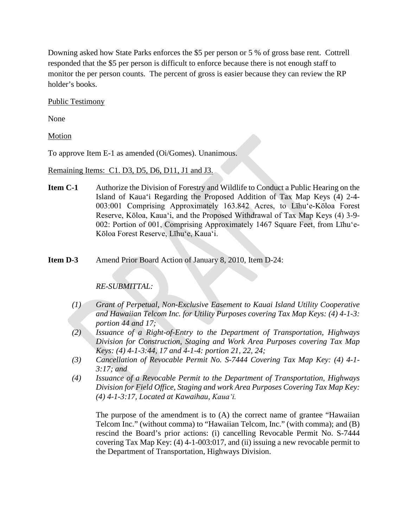Downing asked how State Parks enforces the \$5 per person or 5 % of gross base rent. Cottrell responded that the \$5 per person is difficult to enforce because there is not enough staff to monitor the per person counts. The percent of gross is easier because they can review the RP holder's books.

Public Testimony

None

Motion

To approve Item E-1 as amended (Oi/Gomes). Unanimous.

Remaining Items: C1. D3, D5, D6, D11, J1 and J3.

**Item C-1** Authorize the Division of Forestry and Wildlife to Conduct a Public Hearing on the Island of Kaua'i Regarding the Proposed Addition of Tax Map Keys (4) 2-4- 003:001 Comprising Approximately 163.842 Acres, to Līhu'e-Kōloa Forest Reserve, Kōloa, Kaua'i, and the Proposed Withdrawal of Tax Map Keys (4) 3-9- 002: Portion of 001, Comprising Approximately 1467 Square Feet, from Līhu'e-Kōloa Forest Reserve, Līhu'e, Kaua'i.

**Item D-3** Amend Prior Board Action of January 8, 2010, Item D-24:

## *RE-SUBMITTAL:*

- *(1) Grant of Perpetual, Non-Exclusive Easement to Kauai Island Utility Cooperative and Hawaiian Telcom Inc. for Utility Purposes covering Tax Map Keys: (4) 4-1-3: portion 44 and 17;*
- *(2) Issuance of a Right-of-Entry to the Department of Transportation, Highways Division for Construction, Staging and Work Area Purposes covering Tax Map Keys: (4) 4-1-3:44, 17 and 4-1-4: portion 21, 22, 24;*
- *(3) Cancellation of Revocable Permit No. S-7444 Covering Tax Map Key: (4) 4-1- 3:17; and*
- *(4) Issuance of a Revocable Permit to the Department of Transportation, Highways Division for Field Office, Staging and work Area Purposes Covering Tax Map Key: (4) 4-1-3:17, Located at Kawaihau, Kauaʻi.*

The purpose of the amendment is to (A) the correct name of grantee "Hawaiian Telcom Inc." (without comma) to "Hawaiian Telcom, Inc." (with comma); and (B) rescind the Board's prior actions: (i) cancelling Revocable Permit No. S-7444 covering Tax Map Key: (4) 4-1-003:017, and (ii) issuing a new revocable permit to the Department of Transportation, Highways Division.